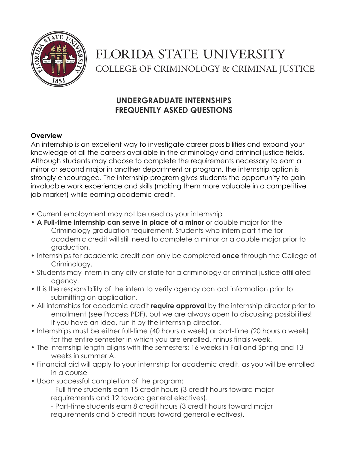

# FLORIDA STATE UNIVERSITY COLLEGE OF CRIMINOLOGY & CRIMINAL JUSTICE

# **UNDERGRADUATE INTERNSHIPS FREQUENTLY ASKED QUESTIONS**

### **Overview**

An internship is an excellent way to investigate career possibilities and expand your knowledge of all the careers available in the criminology and criminal justice fields. Although students may choose to complete the requirements necessary to earn a minor or second major in another department or program, the internship option is strongly encouraged. The internship program gives students the opportunity to gain invaluable work experience and skills (making them more valuable in a competitive job market) while earning academic credit.

- Current employment may not be used as your internship
- **A Full-time internship can serve in place of a minor** or double major for the Criminology graduation requirement. Students who intern part-time for academic credit will still need to complete a minor or a double major prior to graduation.
- Internships for academic credit can only be completed **once** through the College of Criminology.
- Students may intern in any city or state for a criminology or criminal justice affiliated agency.
- It is the responsibility of the intern to verify agency contact information prior to submitting an application.
- All internships for academic credit **require approval** by the internship director prior to enrollment (see Process PDF), but we are always open to discussing possibilities! If you have an idea, run it by the internship director.
- Internships must be either full-time (40 hours a week) or part-time (20 hours a week) for the entire semester in which you are enrolled, minus finals week.
- The internship length aligns with the semesters: 16 weeks in Fall and Spring and 13 weeks in summer A.
- Financial aid will apply to your internship for academic credit, as you will be enrolled in a course
- Upon successful completion of the program:

- Full-time students earn 15 credit hours (3 credit hours toward major requirements and 12 toward general electives).

- Part-time students earn 8 credit hours (3 credit hours toward major requirements and 5 credit hours toward general electives).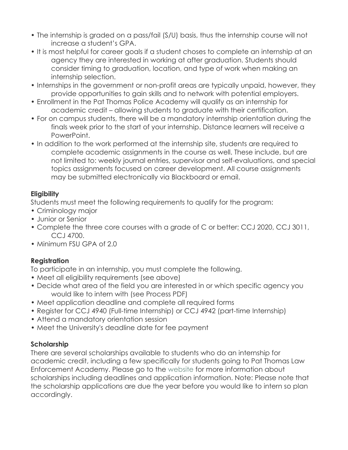- The internship is graded on a pass/fail (S/U) basis, thus the internship course will not increase a student's GPA.
- It is most helpful for career goals if a student choses to complete an internship at an agency they are interested in working at after graduation. Students should consider timing to graduation, location, and type of work when making an internship selection.
- Internships in the government or non-profit areas are typically unpaid, however, they provide opportunities to gain skills and to network with potential employers.
- Enrollment in the Pat Thomas Police Academy will qualify as an internship for academic credit – allowing students to graduate with their certification.
- For on campus students, there will be a mandatory internship orientation during the finals week prior to the start of your internship. Distance learners will receive a PowerPoint.
- In addition to the work performed at the internship site, students are required to complete academic assignments in the course as well. These include, but are not limited to: weekly journal entries, supervisor and self-evaluations, and special topics assignments focused on career development. All course assignments may be submitted electronically via Blackboard or email.

# **Eligibility**

Students must meet the following requirements to qualify for the program:

- Criminology major
- Junior or Senior
- Complete the three core courses with a grade of C or better: CCJ 2020, CCJ 3011, CCJ 4700.
- Minimum FSU GPA of 2.0

# **Registration**

To participate in an internship, you must complete the following.

- Meet all eligibility requirements (see above)
- Decide what area of the field you are interested in or which specific agency you would like to intern with (see Process PDF)
- Meet application deadline and complete all required forms
- Register for CCJ 4940 (Full-time Internship) or CCJ 4942 (part-time Internship)
- Attend a mandatory orientation session
- Meet the University's deadline date for fee payment

#### **Scholarship**

There are several scholarships available to students who do an internship for academic credit, including a few specifically for students going to Pat Thomas Law Enforcement Academy. Please go to the website for more information about scholarships including deadlines and application information. Note: Please note that the scholarship applications are due the year before you would like to intern so plan accordingly.